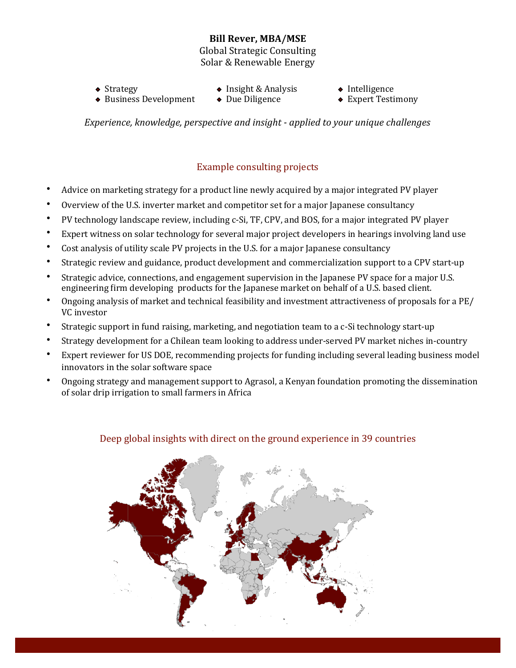## **Bill Rever, MBA/MSE**

Global Strategic Consulting Solar & Renewable Energy

- $\triangle$  Business Development
- <p>• <b>Strategy</b></p>\n<p>• <b>Insight &amp; Analysis</b></p>\n<p>• <b>Business Development</b></p>\n<p>• <b>Due Diligence</b></p>\n<p>• <b>Expert Testimony</b></p>
- -

*Experience, knowledge, perspective and insight - applied to your unique challenges* 

# Example consulting projects

- Advice on marketing strategy for a product line newly acquired by a major integrated PV player
- Overview of the U.S. inverter market and competitor set for a major Japanese consultancy
- PV technology landscape review, including c-Si, TF, CPV, and BOS, for a major integrated PV player
- Expert witness on solar technology for several major project developers in hearings involving land use
- Cost analysis of utility scale PV projects in the U.S. for a major Japanese consultancy
- Strategic review and guidance, product development and commercialization support to a CPV start-up
- Strategic advice, connections, and engagement supervision in the Japanese PV space for a major U.S. engineering firm developing products for the Japanese market on behalf of a U.S. based client.
- Ongoing analysis of market and technical feasibility and investment attractiveness of proposals for a PE/ VC investor
- Strategic support in fund raising, marketing, and negotiation team to a c-Si technology start-up
- Strategy development for a Chilean team looking to address under-served PV market niches in-country
- Expert reviewer for US DOE, recommending projects for funding including several leading business model innovators in the solar software space
- Ongoing strategy and management support to Agrasol, a Kenyan foundation promoting the dissemination of solar drip irrigation to small farmers in Africa



## Deep global insights with direct on the ground experience in 39 countries